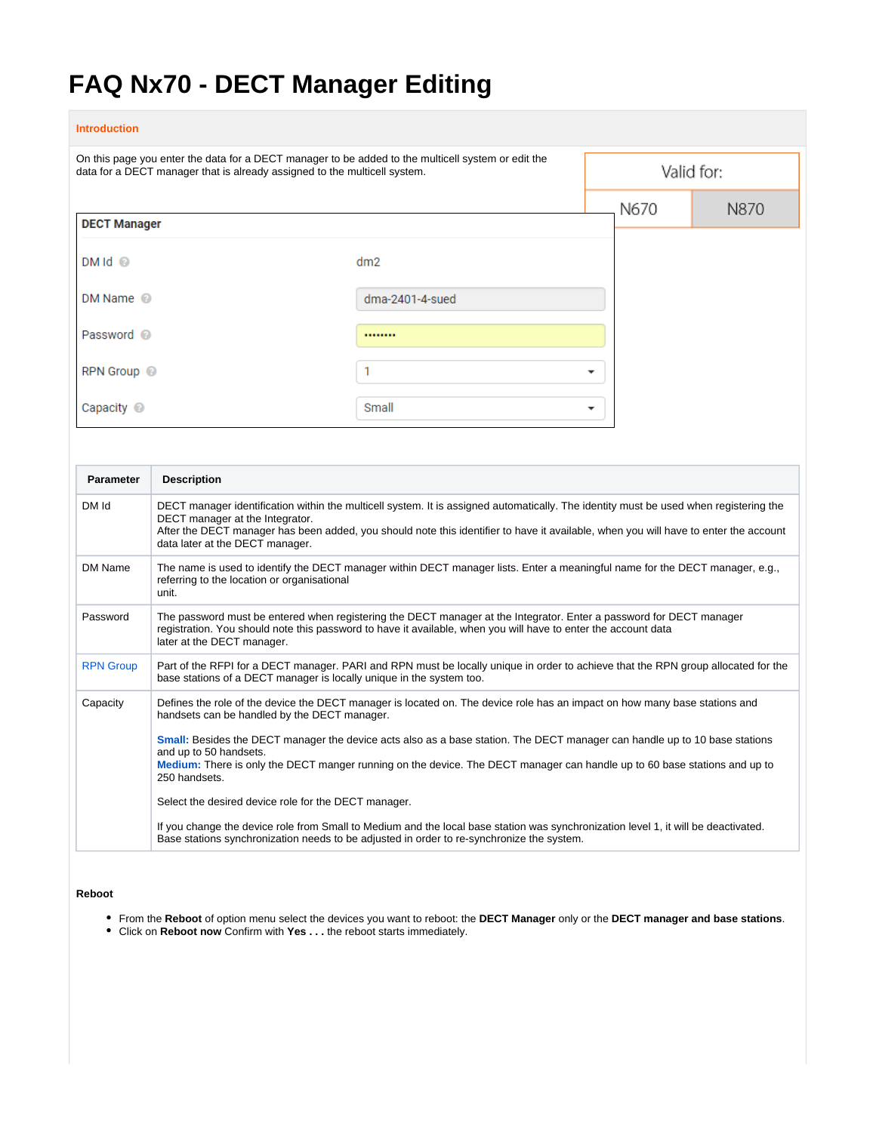# **FAQ Nx70 - DECT Manager Editing**

# **Introduction** On this page you enter the data for a DECT manager to be added to the multicell system or edit the Valid for: data for a DECT manager that is already assigned to the multicell system. N670 N870 **DECT Manager**  $DMId$   $@$  $dm2$ DM Name <sup>@</sup> dma-2401-4-sued Password <sup>@</sup>  $1.1.1.1.1.1$ RPN Group @  $\mathbf{1}$  $\overline{\phantom{a}}$ Capacity <sup>@</sup> Small  $\overline{\phantom{a}}$

| <b>Parameter</b> | <b>Description</b>                                                                                                                                                                                                                                                                                                                                  |  |
|------------------|-----------------------------------------------------------------------------------------------------------------------------------------------------------------------------------------------------------------------------------------------------------------------------------------------------------------------------------------------------|--|
| DM Id            | DECT manager identification within the multicell system. It is assigned automatically. The identity must be used when registering the<br>DECT manager at the Integrator.<br>After the DECT manager has been added, you should note this identifier to have it available, when you will have to enter the account<br>data later at the DECT manager. |  |
| DM Name          | The name is used to identify the DECT manager within DECT manager lists. Enter a meaningful name for the DECT manager, e.g.,<br>referring to the location or organisational<br>unit.                                                                                                                                                                |  |
| Password         | The password must be entered when registering the DECT manager at the Integrator. Enter a password for DECT manager<br>registration. You should note this password to have it available, when you will have to enter the account data<br>later at the DECT manager.                                                                                 |  |
| <b>RPN Group</b> | Part of the RFPI for a DECT manager. PARI and RPN must be locally unique in order to achieve that the RPN group allocated for the<br>base stations of a DECT manager is locally unique in the system too.                                                                                                                                           |  |
| Capacity         | Defines the role of the device the DECT manager is located on. The device role has an impact on how many base stations and<br>handsets can be handled by the DECT manager.                                                                                                                                                                          |  |
|                  | Small: Besides the DECT manager the device acts also as a base station. The DECT manager can handle up to 10 base stations<br>and up to 50 handsets.                                                                                                                                                                                                |  |
|                  | Medium: There is only the DECT manger running on the device. The DECT manager can handle up to 60 base stations and up to<br>250 handsets.                                                                                                                                                                                                          |  |
|                  | Select the desired device role for the DECT manager.                                                                                                                                                                                                                                                                                                |  |
|                  | If you change the device role from Small to Medium and the local base station was synchronization level 1, it will be deactivated.<br>Base stations synchronization needs to be adjusted in order to re-synchronize the system.                                                                                                                     |  |

# **Reboot**

- From the **Reboot** of option menu select the devices you want to reboot: the **DECT Manager** only or the **DECT manager and base stations**.
- Click on **Reboot now** Confirm with **Yes . . .** the reboot starts immediately.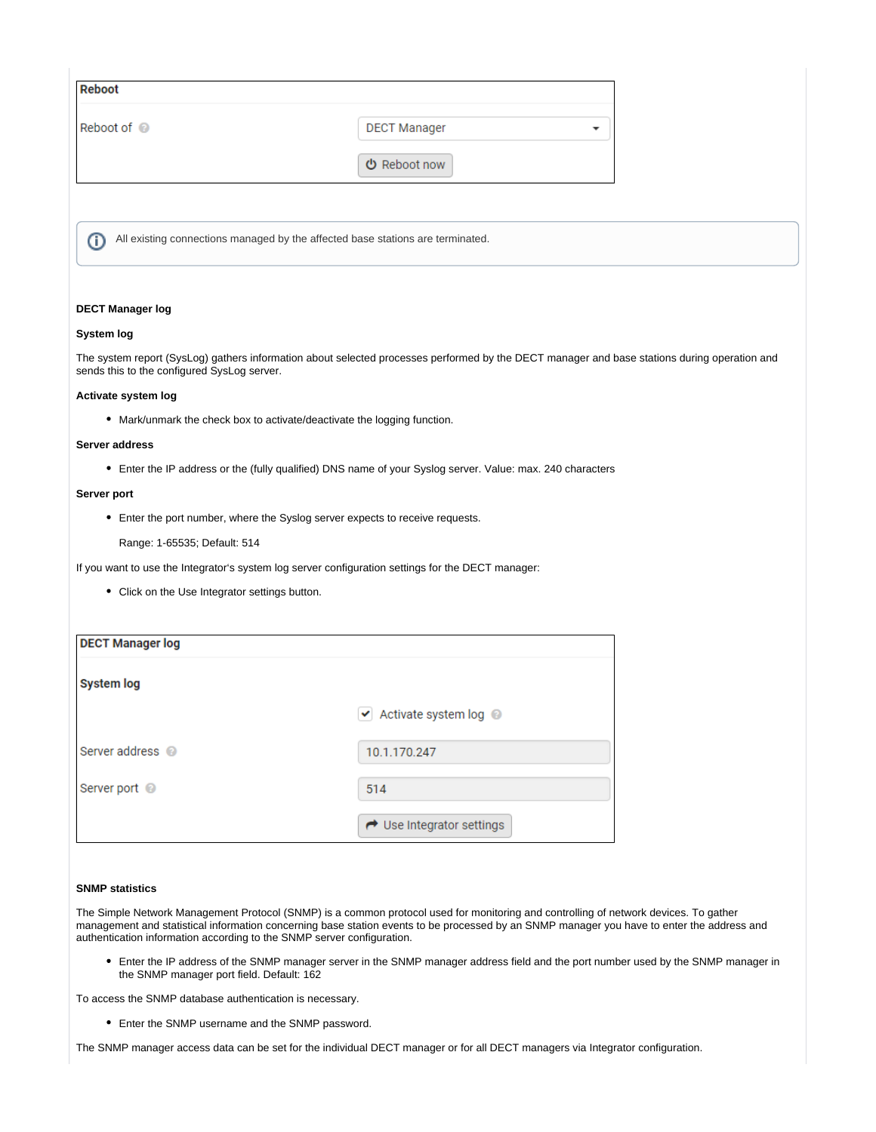| <b>Reboot</b> |                                                                                |  |
|---------------|--------------------------------------------------------------------------------|--|
| Reboot of @   | <b>DECT Manager</b>                                                            |  |
|               | <b>少</b> Reboot now                                                            |  |
|               |                                                                                |  |
| (i)           | All existing connections managed by the affected base stations are terminated. |  |

# **DECT Manager log**

#### **System log**

The system report (SysLog) gathers information about selected processes performed by the DECT manager and base stations during operation and sends this to the configured SysLog server.

#### **Activate system log**

Mark/unmark the check box to activate/deactivate the logging function.

#### **Server address**

Enter the IP address or the (fully qualified) DNS name of your Syslog server. Value: max. 240 characters

### **Server port**

Enter the port number, where the Syslog server expects to receive requests.

Range: 1-65535; Default: 514

If you want to use the Integrator's system log server configuration settings for the DECT manager:

• Click on the Use Integrator settings button.

| <b>DECT Manager log</b>     |                                                        |
|-----------------------------|--------------------------------------------------------|
| <b>System log</b>           |                                                        |
|                             | $\blacktriangleright$ Activate system log $\heartsuit$ |
| Server address <sup>@</sup> | 10.1.170.247                                           |
| Server port @               | 514                                                    |
|                             | ← Use Integrator settings                              |

## **SNMP statistics**

The Simple Network Management Protocol (SNMP) is a common protocol used for monitoring and controlling of network devices. To gather management and statistical information concerning base station events to be processed by an SNMP manager you have to enter the address and authentication information according to the SNMP server configuration.

Enter the IP address of the SNMP manager server in the SNMP manager address field and the port number used by the SNMP manager in the SNMP manager port field. Default: 162

To access the SNMP database authentication is necessary.

Enter the SNMP username and the SNMP password.

The SNMP manager access data can be set for the individual DECT manager or for all DECT managers via Integrator configuration.